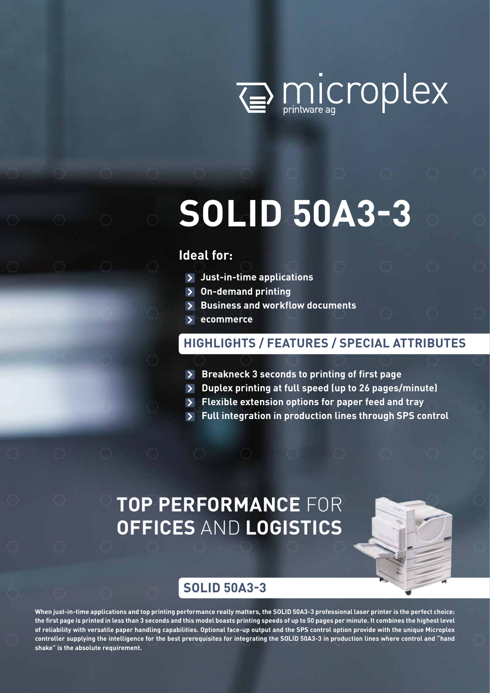

# **SOLID 50A3-3**

### **Ideal for:**

- **Just-in-time applications**
- **On-demand printing**
- **Business and workflow documents**
- **ecommerce**

#### **HIGHLIGHTS / FEATURES / SPECIAL ATTRIBUTES**

- **Breakneck 3 seconds to printing of first page**
- **Duplex printing at full speed (up to 26 pages/minute)**
- **Flexible extension options for paper feed and tray**
- **Full integration in production lines through SPS control**

## **TOP PERFORMANCE** FOR **OFFICES** AND **LOGISTICS**



#### **SOLID 50A3-3**

**When just-in-time applications and top printing performance really matters, the SOLID 50A3-3 professional laser printer is the perfect choice: the first page is printed in less than 3 seconds and this model boasts printing speeds of up to 50 pages per minute. It combines the highest level of reliability with versatile paper handling capabilities. Optional face-up output and the SPS control option provide with the unique Microplex controller supplying the intelligence for the best prerequisites for integrating the SOLID 50A3-3 in production lines where control and "hand shake" is the absolute requirement.**